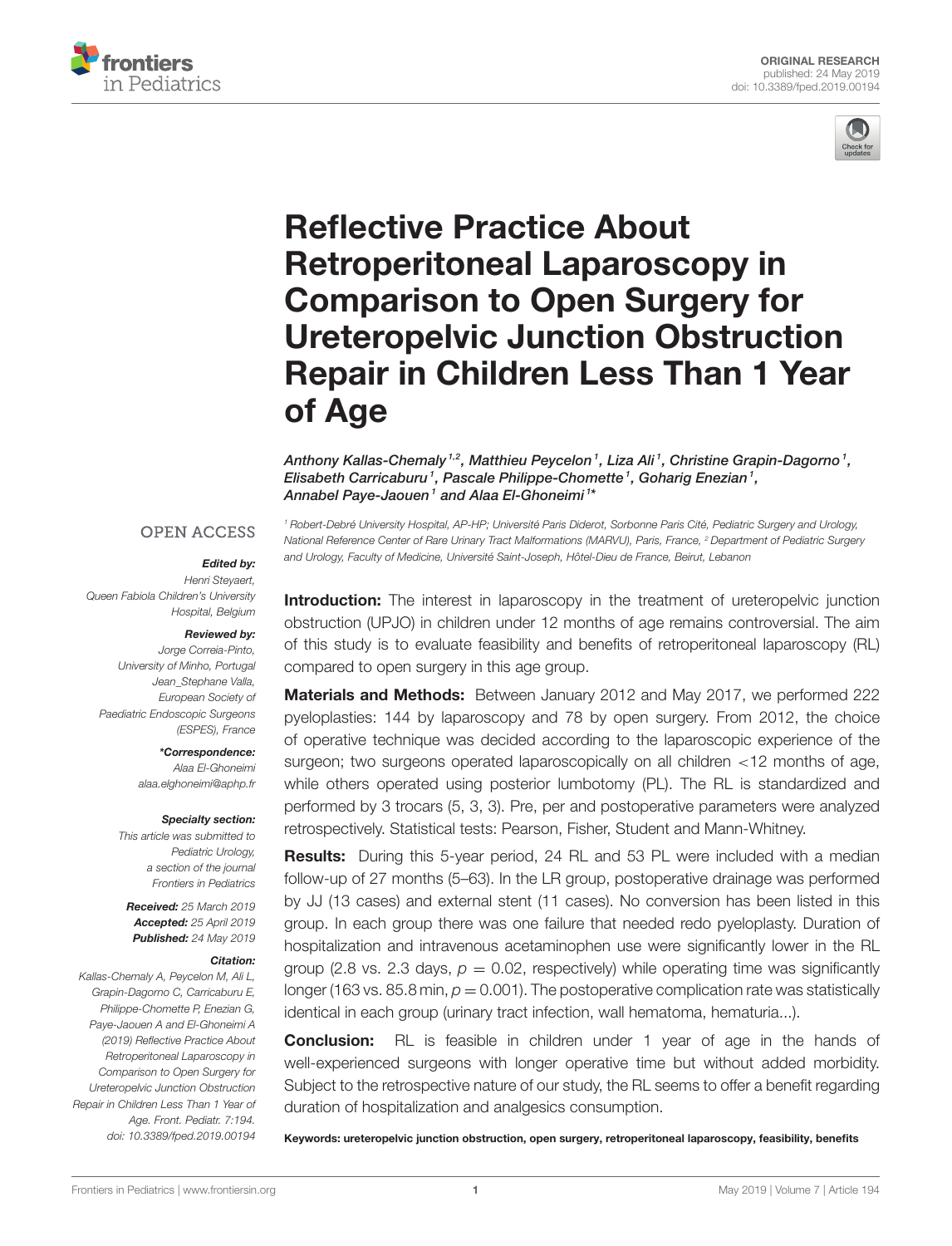



# Reflective Practice About Retroperitoneal Laparoscopy in Comparison to Open Surgery for Ureteropelvic Junction Obstruction [Repair in Children Less Than 1 Year](https://www.frontiersin.org/articles/10.3389/fped.2019.00194/full) of Age

[Anthony Kallas-Chemaly](http://loop.frontiersin.org/people/626065/overview) <sup>1,2</sup>, [Matthieu Peycelon](http://loop.frontiersin.org/people/295258/overview) <sup>1</sup>, Liza Ali <sup>1</sup>, Christine Grapin-Dagorno <sup>1</sup>, [Elisabeth Carricaburu](http://loop.frontiersin.org/people/735339/overview)1, Pascale Philippe-Chomette1, Goharig Enezian1, Annabel Paye-Jaouen1 and Alaa El-Ghoneimi<sup>1\*</sup>

#### **OPEN ACCESS**

#### Edited by:

Henri Steyaert, Queen Fabiola Children's University Hospital, Belgium

#### Reviewed by:

Jorge Correia-Pinto, University of Minho, Portugal Jean\_Stephane Valla, European Society of Paediatric Endoscopic Surgeons (ESPES), France

> \*Correspondence: Alaa El-Ghoneimi [alaa.elghoneimi@aphp.fr](mailto:alaa.elghoneimi@aphp.fr)

#### Specialty section:

This article was submitted to Pediatric Urology, a section of the journal Frontiers in Pediatrics

Received: 25 March 2019 Accepted: 25 April 2019 Published: 24 May 2019

#### Citation:

Kallas-Chemaly A, Peycelon M, Ali L, Grapin-Dagorno C, Carricaburu E, Philippe-Chomette P, Enezian G, Paye-Jaouen A and El-Ghoneimi A (2019) Reflective Practice About Retroperitoneal Laparoscopy in Comparison to Open Surgery for Ureteropelvic Junction Obstruction Repair in Children Less Than 1 Year of Age. Front. Pediatr. 7:194. doi: [10.3389/fped.2019.00194](https://doi.org/10.3389/fped.2019.00194)

<sup>1</sup> Robert-Debré University Hospital, AP-HP; Université Paris Diderot, Sorbonne Paris Cité, Pediatric Surgery and Urology, National Reference Center of Rare Urinary Tract Malformations (MARVU), Paris, France, <sup>2</sup> Department of Pediatric Surgery and Urology, Faculty of Medicine, Université Saint-Joseph, Hôtel-Dieu de France, Beirut, Lebanon

**Introduction:** The interest in laparoscopy in the treatment of ureteropelvic junction obstruction (UPJO) in children under 12 months of age remains controversial. The aim of this study is to evaluate feasibility and benefits of retroperitoneal laparoscopy (RL) compared to open surgery in this age group.

Materials and Methods: Between January 2012 and May 2017, we performed 222 pyeloplasties: 144 by laparoscopy and 78 by open surgery. From 2012, the choice of operative technique was decided according to the laparoscopic experience of the surgeon; two surgeons operated laparoscopically on all children <12 months of age, while others operated using posterior lumbotomy (PL). The RL is standardized and performed by 3 trocars (5, 3, 3). Pre, per and postoperative parameters were analyzed retrospectively. Statistical tests: Pearson, Fisher, Student and Mann-Whitney.

Results: During this 5-year period, 24 RL and 53 PL were included with a median follow-up of 27 months (5–63). In the LR group, postoperative drainage was performed by JJ (13 cases) and external stent (11 cases). No conversion has been listed in this group. In each group there was one failure that needed redo pyeloplasty. Duration of hospitalization and intravenous acetaminophen use were significantly lower in the RL group (2.8 vs. 2.3 days,  $p = 0.02$ , respectively) while operating time was significantly longer (163 vs. 85.8 min,  $p = 0.001$ ). The postoperative complication rate was statistically identical in each group (urinary tract infection, wall hematoma, hematuria...).

**Conclusion:** RL is feasible in children under 1 year of age in the hands of well-experienced surgeons with longer operative time but without added morbidity. Subject to the retrospective nature of our study, the RL seems to offer a benefit regarding duration of hospitalization and analgesics consumption.

Keywords: ureteropelvic junction obstruction, open surgery, retroperitoneal laparoscopy, feasibility, benefits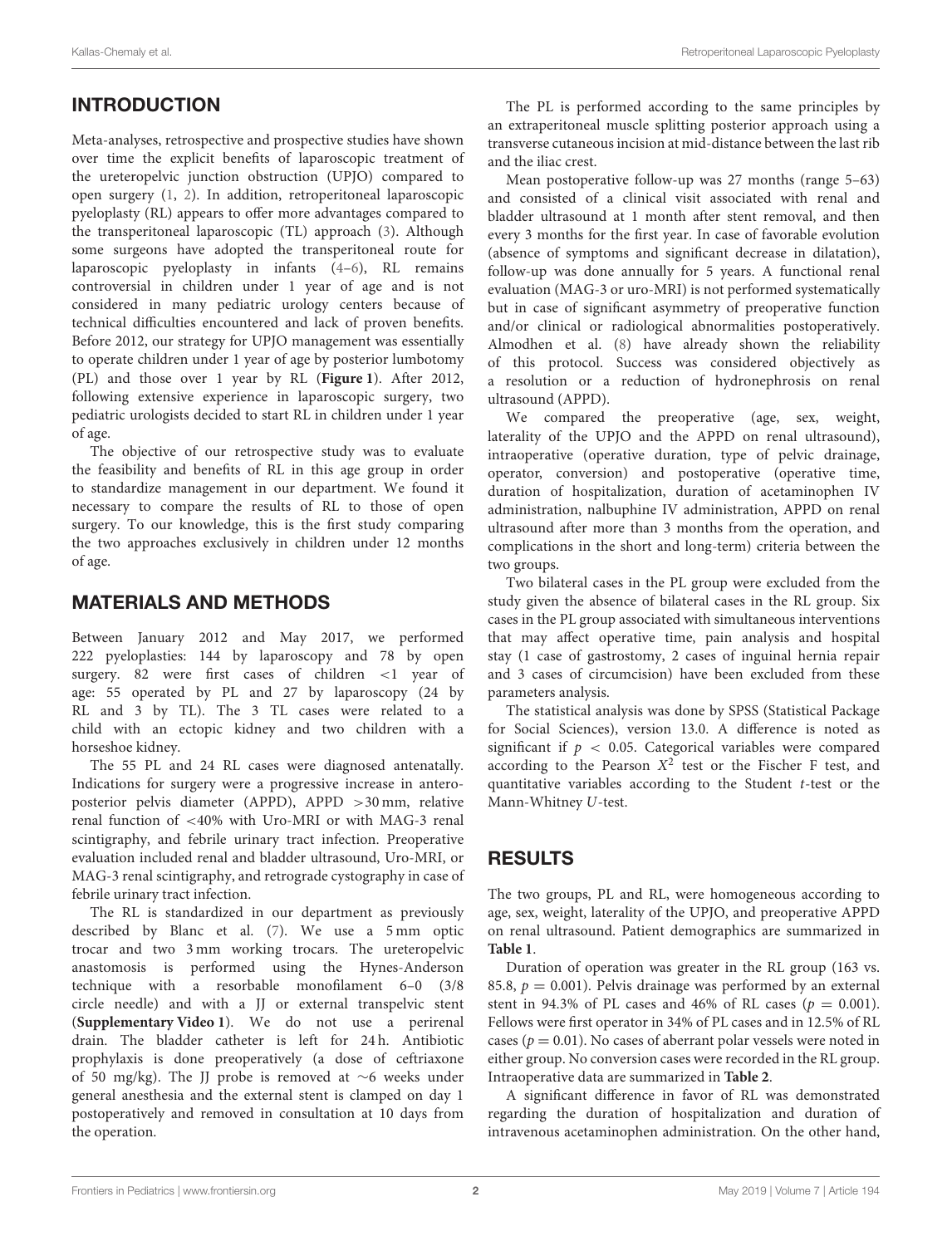# INTRODUCTION

Meta-analyses, retrospective and prospective studies have shown over time the explicit benefits of laparoscopic treatment of the ureteropelvic junction obstruction (UPJO) compared to open surgery [\(1,](#page-4-0) [2\)](#page-4-1). In addition, retroperitoneal laparoscopic pyeloplasty (RL) appears to offer more advantages compared to the transperitoneal laparoscopic (TL) approach [\(3\)](#page-4-2). Although some surgeons have adopted the transperitoneal route for laparoscopic pyeloplasty in infants [\(4–](#page-4-3)[6\)](#page-4-4), RL remains controversial in children under 1 year of age and is not considered in many pediatric urology centers because of technical difficulties encountered and lack of proven benefits. Before 2012, our strategy for UPJO management was essentially to operate children under 1 year of age by posterior lumbotomy (PL) and those over 1 year by RL (**[Figure 1](#page-2-0)**). After 2012, following extensive experience in laparoscopic surgery, two pediatric urologists decided to start RL in children under 1 year of age.

The objective of our retrospective study was to evaluate the feasibility and benefits of RL in this age group in order to standardize management in our department. We found it necessary to compare the results of RL to those of open surgery. To our knowledge, this is the first study comparing the two approaches exclusively in children under 12 months of age.

### MATERIALS AND METHODS

Between January 2012 and May 2017, we performed 222 pyeloplasties: 144 by laparoscopy and 78 by open surgery. 82 were first cases of children <1 year of age: 55 operated by PL and 27 by laparoscopy (24 by RL and 3 by TL). The 3 TL cases were related to a child with an ectopic kidney and two children with a horseshoe kidney.

The 55 PL and 24 RL cases were diagnosed antenatally. Indications for surgery were a progressive increase in anteroposterior pelvis diameter (APPD), APPD >30 mm, relative renal function of <40% with Uro-MRI or with MAG-3 renal scintigraphy, and febrile urinary tract infection. Preoperative evaluation included renal and bladder ultrasound, Uro-MRI, or MAG-3 renal scintigraphy, and retrograde cystography in case of febrile urinary tract infection.

The RL is standardized in our department as previously described by Blanc et al. [\(7\)](#page-4-5). We use a 5 mm optic trocar and two 3 mm working trocars. The ureteropelvic anastomosis is performed using the Hynes-Anderson technique with a resorbable monofilament 6–0 (3/8 circle needle) and with a JJ or external transpelvic stent (**Supplementary Video 1**). We do not use a perirenal drain. The bladder catheter is left for 24 h. Antibiotic prophylaxis is done preoperatively (a dose of ceftriaxone of 50 mg/kg). The JJ probe is removed at ∼6 weeks under general anesthesia and the external stent is clamped on day 1 postoperatively and removed in consultation at 10 days from the operation.

The PL is performed according to the same principles by an extraperitoneal muscle splitting posterior approach using a transverse cutaneous incision at mid-distance between the last rib and the iliac crest.

Mean postoperative follow-up was 27 months (range 5–63) and consisted of a clinical visit associated with renal and bladder ultrasound at 1 month after stent removal, and then every 3 months for the first year. In case of favorable evolution (absence of symptoms and significant decrease in dilatation), follow-up was done annually for 5 years. A functional renal evaluation (MAG-3 or uro-MRI) is not performed systematically but in case of significant asymmetry of preoperative function and/or clinical or radiological abnormalities postoperatively. Almodhen et al. [\(8\)](#page-4-6) have already shown the reliability of this protocol. Success was considered objectively as a resolution or a reduction of hydronephrosis on renal ultrasound (APPD).

We compared the preoperative (age, sex, weight, laterality of the UPJO and the APPD on renal ultrasound), intraoperative (operative duration, type of pelvic drainage, operator, conversion) and postoperative (operative time, duration of hospitalization, duration of acetaminophen IV administration, nalbuphine IV administration, APPD on renal ultrasound after more than 3 months from the operation, and complications in the short and long-term) criteria between the two groups.

Two bilateral cases in the PL group were excluded from the study given the absence of bilateral cases in the RL group. Six cases in the PL group associated with simultaneous interventions that may affect operative time, pain analysis and hospital stay (1 case of gastrostomy, 2 cases of inguinal hernia repair and 3 cases of circumcision) have been excluded from these parameters analysis.

The statistical analysis was done by SPSS (Statistical Package for Social Sciences), version 13.0. A difference is noted as significant if  $p < 0.05$ . Categorical variables were compared according to the Pearson  $X^2$  test or the Fischer F test, and quantitative variables according to the Student t-test or the Mann-Whitney U-test.

## RESULTS

The two groups, PL and RL, were homogeneous according to age, sex, weight, laterality of the UPJO, and preoperative APPD on renal ultrasound. Patient demographics are summarized in **[Table 1](#page-2-1)**.

Duration of operation was greater in the RL group (163 vs. 85.8,  $p = 0.001$ ). Pelvis drainage was performed by an external stent in 94.3% of PL cases and 46% of RL cases ( $p = 0.001$ ). Fellows were first operator in 34% of PL cases and in 12.5% of RL cases ( $p = 0.01$ ). No cases of aberrant polar vessels were noted in either group. No conversion cases were recorded in the RL group. Intraoperative data are summarized in **[Table 2](#page-2-2)**.

A significant difference in favor of RL was demonstrated regarding the duration of hospitalization and duration of intravenous acetaminophen administration. On the other hand,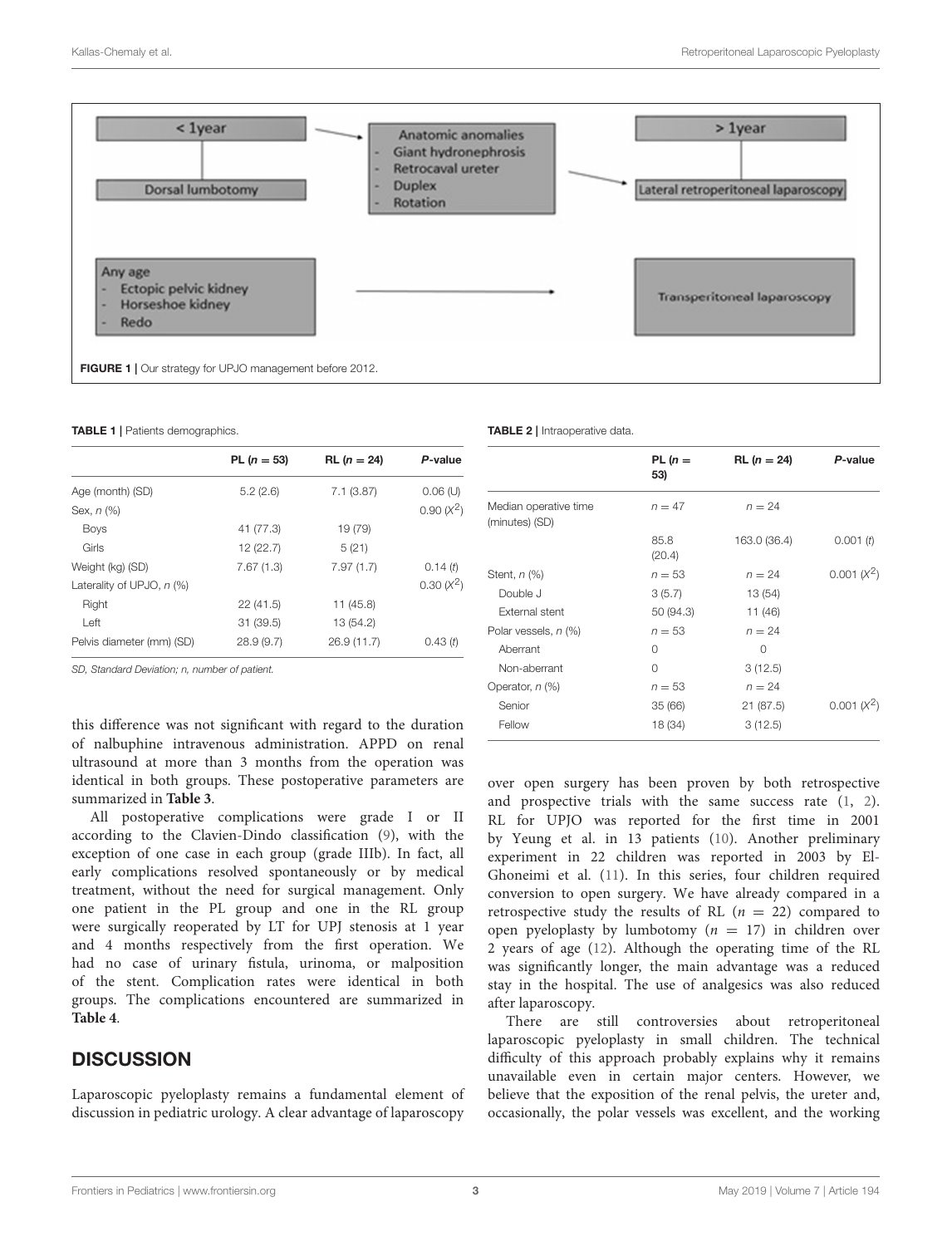

<span id="page-2-1"></span><span id="page-2-0"></span>TABLE 1 | Patients demographics.

|                             | PL $(n = 53)$ | $RL (n = 24)$ | P-value      |
|-----------------------------|---------------|---------------|--------------|
| Age (month) (SD)            | 5.2(2.6)      | 7.1(3.87)     | $0.06$ (U)   |
| Sex, $n$ $%$                |               |               | $0.90 (X^2)$ |
| <b>Boys</b>                 | 41 (77.3)     | 19 (79)       |              |
| Girls                       | 12 (22.7)     | 5(21)         |              |
| Weight (kg) (SD)            | 7.67(1.3)     | 7.97(1.7)     | 0.14(t)      |
| Laterality of UPJO, $n$ (%) |               |               | $0.30 (X^2)$ |
| Right                       | 22(41.5)      | 11 (45.8)     |              |
| Left                        | 31 (39.5)     | 13 (54.2)     |              |
| Pelvis diameter (mm) (SD)   | 28.9(9.7)     | 26.9 (11.7)   | 0.43(t)      |
|                             |               |               |              |

SD, Standard Deviation; n, number of patient.

this difference was not significant with regard to the duration of nalbuphine intravenous administration. APPD on renal ultrasound at more than 3 months from the operation was identical in both groups. These postoperative parameters are summarized in **[Table 3](#page-3-0)**.

All postoperative complications were grade I or II according to the Clavien-Dindo classification [\(9\)](#page-4-7), with the exception of one case in each group (grade IIIb). In fact, all early complications resolved spontaneously or by medical treatment, without the need for surgical management. Only one patient in the PL group and one in the RL group were surgically reoperated by LT for UPJ stenosis at 1 year and 4 months respectively from the first operation. We had no case of urinary fistula, urinoma, or malposition of the stent. Complication rates were identical in both groups. The complications encountered are summarized in **[Table 4](#page-3-1)**.

### **DISCUSSION**

Laparoscopic pyeloplasty remains a fundamental element of discussion in pediatric urology. A clear advantage of laparoscopy

<span id="page-2-2"></span>TABLE 2 | Intraoperative data.

|                                         | $PL(n =$<br>53) | $RL (n = 24)$ | P-value       |
|-----------------------------------------|-----------------|---------------|---------------|
| Median operative time<br>(minutes) (SD) | $n = 47$        | $n = 24$      |               |
|                                         | 85.8<br>(20.4)  | 163.0 (36.4)  | 0.001(t)      |
| Stent, $n$ $%$                          | $n = 53$        | $n = 24$      | $0.001 (X^2)$ |
| Double J                                | 3(5.7)          | 13 (54)       |               |
| External stent                          | 50 (94.3)       | 11 (46)       |               |
| Polar vessels, n (%)                    | $n = 53$        | $n = 24$      |               |
| Aberrant                                | 0               | 0             |               |
| Non-aberrant                            | $\Omega$        | 3(12.5)       |               |
| Operator, n (%)                         | $n = 53$        | $n = 24$      |               |
| Senior                                  | 35(66)          | 21 (87.5)     | $0.001 (X^2)$ |
| Fellow                                  | 18 (34)         | 3(12.5)       |               |
|                                         |                 |               |               |

over open surgery has been proven by both retrospective and prospective trials with the same success rate [\(1,](#page-4-0) [2\)](#page-4-1). RL for UPJO was reported for the first time in 2001 by Yeung et al. in 13 patients [\(10\)](#page-4-8). Another preliminary experiment in 22 children was reported in 2003 by El-Ghoneimi et al. [\(11\)](#page-4-9). In this series, four children required conversion to open surgery. We have already compared in a retrospective study the results of RL  $(n = 22)$  compared to open pyeloplasty by lumbotomy ( $n = 17$ ) in children over 2 years of age [\(12\)](#page-4-10). Although the operating time of the RL was significantly longer, the main advantage was a reduced stay in the hospital. The use of analgesics was also reduced after laparoscopy.

There are still controversies about retroperitoneal laparoscopic pyeloplasty in small children. The technical difficulty of this approach probably explains why it remains unavailable even in certain major centers. However, we believe that the exposition of the renal pelvis, the ureter and, occasionally, the polar vessels was excellent, and the working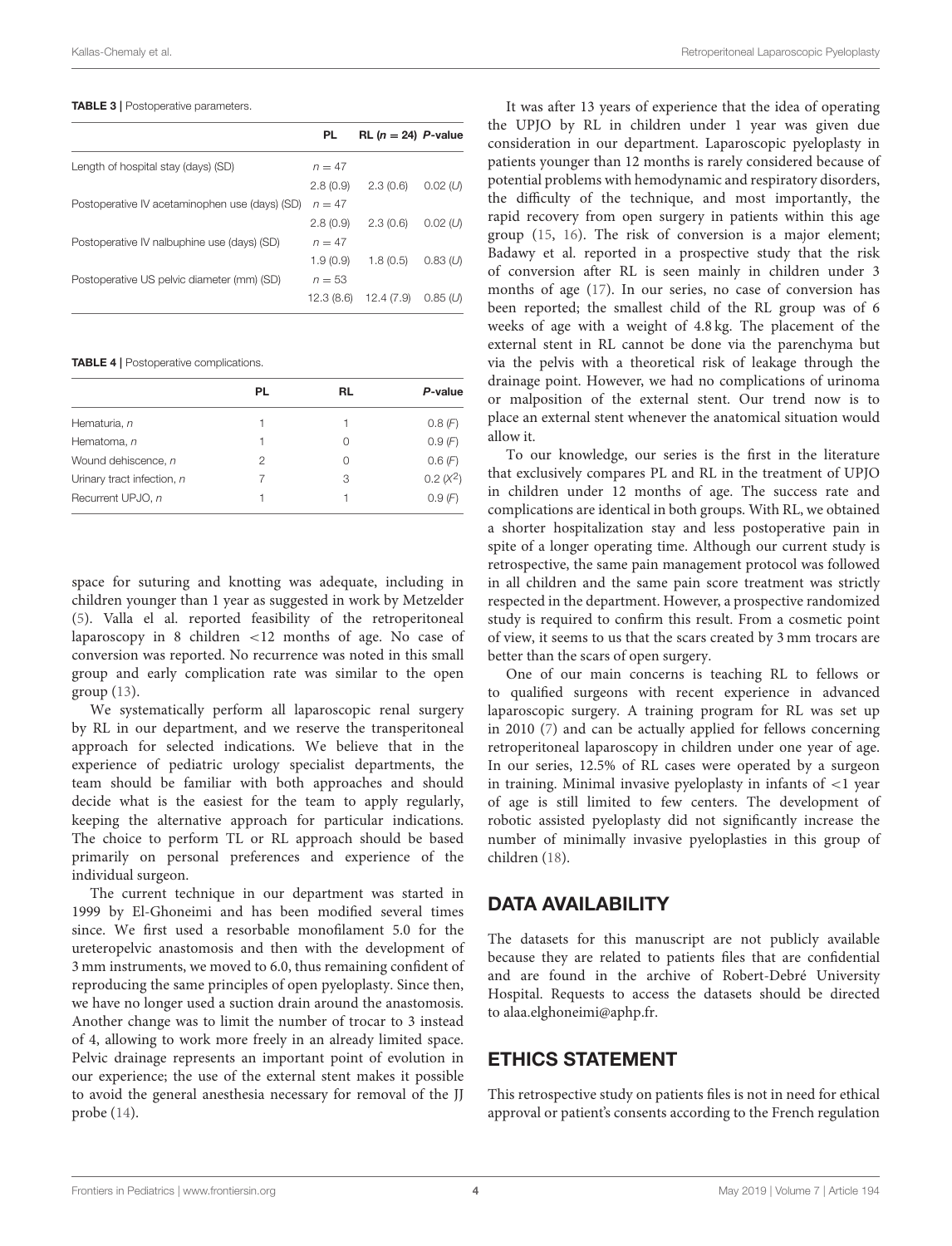#### <span id="page-3-0"></span>TABLE 3 | Postoperative parameters.

|                                                | PL         | RL $(n = 24)$ P-value |               |
|------------------------------------------------|------------|-----------------------|---------------|
| Length of hospital stay (days) (SD)            | $n = 47$   |                       |               |
|                                                | 2.8(0.9)   | 2.3(0.6)              | $0.02 \; (U)$ |
| Postoperative IV acetaminophen use (days) (SD) | $n = 47$   |                       |               |
|                                                | 2.8(0.9)   | 2.3(0.6)              | $0.02 \; (U)$ |
| Postoperative IV nalbuphine use (days) (SD)    | $n = 47$   |                       |               |
|                                                | 1.9(0.9)   | 1.8(0.5)              | $0.83$ (U)    |
| Postoperative US pelvic diameter (mm) (SD)     | $n = 53$   |                       |               |
|                                                | 12.3 (8.6) | 12.4(7.9)             | $0.85 \; (U)$ |

#### <span id="page-3-1"></span>TABLE 4 | Postoperative complications.

|                            | PL | RL | P-value     |
|----------------------------|----|----|-------------|
| Hematuria, n               |    |    | 0.8(F)      |
| Hematoma, n                | 1  | 0  | 0.9(F)      |
| Wound dehiscence, n        | 2  | 0  | 0.6(F)      |
| Urinary tract infection, n |    | 3  | $0.2 (X^2)$ |
| Recurrent UPJO, n          |    |    | 0.9(F)      |
|                            |    |    |             |

space for suturing and knotting was adequate, including in children younger than 1 year as suggested in work by Metzelder [\(5\)](#page-4-11). Valla el al. reported feasibility of the retroperitoneal laparoscopy in 8 children <12 months of age. No case of conversion was reported. No recurrence was noted in this small group and early complication rate was similar to the open group [\(13\)](#page-4-12).

We systematically perform all laparoscopic renal surgery by RL in our department, and we reserve the transperitoneal approach for selected indications. We believe that in the experience of pediatric urology specialist departments, the team should be familiar with both approaches and should decide what is the easiest for the team to apply regularly, keeping the alternative approach for particular indications. The choice to perform TL or RL approach should be based primarily on personal preferences and experience of the individual surgeon.

The current technique in our department was started in 1999 by El-Ghoneimi and has been modified several times since. We first used a resorbable monofilament 5.0 for the ureteropelvic anastomosis and then with the development of 3 mm instruments, we moved to 6.0, thus remaining confident of reproducing the same principles of open pyeloplasty. Since then, we have no longer used a suction drain around the anastomosis. Another change was to limit the number of trocar to 3 instead of 4, allowing to work more freely in an already limited space. Pelvic drainage represents an important point of evolution in our experience; the use of the external stent makes it possible to avoid the general anesthesia necessary for removal of the JJ probe [\(14\)](#page-4-13).

It was after 13 years of experience that the idea of operating the UPJO by RL in children under 1 year was given due consideration in our department. Laparoscopic pyeloplasty in patients younger than 12 months is rarely considered because of potential problems with hemodynamic and respiratory disorders, the difficulty of the technique, and most importantly, the rapid recovery from open surgery in patients within this age group [\(15,](#page-4-14) [16\)](#page-4-15). The risk of conversion is a major element; Badawy et al. reported in a prospective study that the risk of conversion after RL is seen mainly in children under 3 months of age [\(17\)](#page-4-16). In our series, no case of conversion has been reported; the smallest child of the RL group was of 6 weeks of age with a weight of 4.8 kg. The placement of the external stent in RL cannot be done via the parenchyma but via the pelvis with a theoretical risk of leakage through the drainage point. However, we had no complications of urinoma or malposition of the external stent. Our trend now is to place an external stent whenever the anatomical situation would allow it.

To our knowledge, our series is the first in the literature that exclusively compares PL and RL in the treatment of UPJO in children under 12 months of age. The success rate and complications are identical in both groups. With RL, we obtained a shorter hospitalization stay and less postoperative pain in spite of a longer operating time. Although our current study is retrospective, the same pain management protocol was followed in all children and the same pain score treatment was strictly respected in the department. However, a prospective randomized study is required to confirm this result. From a cosmetic point of view, it seems to us that the scars created by 3 mm trocars are better than the scars of open surgery.

One of our main concerns is teaching RL to fellows or to qualified surgeons with recent experience in advanced laparoscopic surgery. A training program for RL was set up in 2010 [\(7\)](#page-4-5) and can be actually applied for fellows concerning retroperitoneal laparoscopy in children under one year of age. In our series, 12.5% of RL cases were operated by a surgeon in training. Minimal invasive pyeloplasty in infants of  $\langle 1 \rangle$  year of age is still limited to few centers. The development of robotic assisted pyeloplasty did not significantly increase the number of minimally invasive pyeloplasties in this group of children [\(18\)](#page-4-17).

### DATA AVAILABILITY

The datasets for this manuscript are not publicly available because they are related to patients files that are confidential and are found in the archive of Robert-Debré University Hospital. Requests to access the datasets should be directed to alaa.elghoneimi@aphp.fr.

### ETHICS STATEMENT

This retrospective study on patients files is not in need for ethical approval or patient's consents according to the French regulation